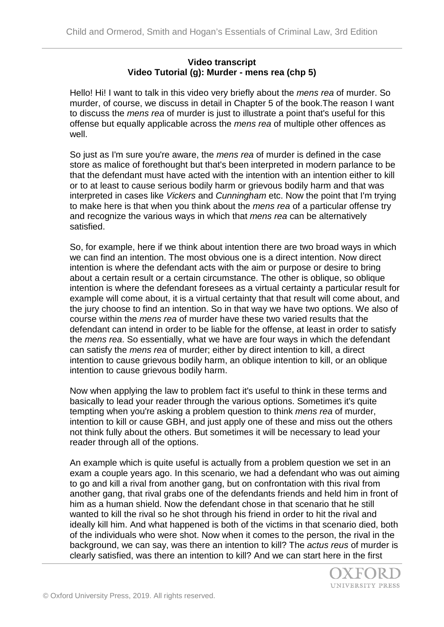## **Video transcript Video Tutorial (g): Murder - mens rea (chp 5)**

Hello! Hi! I want to talk in this video very briefly about the *mens rea* of murder. So murder, of course, we discuss in detail in Chapter 5 of the book.The reason I want to discuss the *mens rea* of murder is just to illustrate a point that's useful for this offense but equally applicable across the *mens rea* of multiple other offences as well.

So just as I'm sure you're aware, the *mens rea* of murder is defined in the case store as malice of forethought but that's been interpreted in modern parlance to be that the defendant must have acted with the intention with an intention either to kill or to at least to cause serious bodily harm or grievous bodily harm and that was interpreted in cases like *Vickers* and *Cunningham* etc. Now the point that I'm trying to make here is that when you think about the *mens rea* of a particular offense try and recognize the various ways in which that *mens rea* can be alternatively satisfied.

So, for example, here if we think about intention there are two broad ways in which we can find an intention. The most obvious one is a direct intention. Now direct intention is where the defendant acts with the aim or purpose or desire to bring about a certain result or a certain circumstance. The other is oblique, so oblique intention is where the defendant foresees as a virtual certainty a particular result for example will come about, it is a virtual certainty that that result will come about, and the jury choose to find an intention. So in that way we have two options. We also of course within the *mens rea* of murder have these two varied results that the defendant can intend in order to be liable for the offense, at least in order to satisfy the *mens rea*. So essentially, what we have are four ways in which the defendant can satisfy the *mens rea* of murder; either by direct intention to kill, a direct intention to cause grievous bodily harm, an oblique intention to kill, or an oblique intention to cause grievous bodily harm.

Now when applying the law to problem fact it's useful to think in these terms and basically to lead your reader through the various options. Sometimes it's quite tempting when you're asking a problem question to think *mens rea* of murder, intention to kill or cause GBH, and just apply one of these and miss out the others not think fully about the others. But sometimes it will be necessary to lead your reader through all of the options.

An example which is quite useful is actually from a problem question we set in an exam a couple years ago. In this scenario, we had a defendant who was out aiming to go and kill a rival from another gang, but on confrontation with this rival from another gang, that rival grabs one of the defendants friends and held him in front of him as a human shield. Now the defendant chose in that scenario that he still wanted to kill the rival so he shot through his friend in order to hit the rival and ideally kill him. And what happened is both of the victims in that scenario died, both of the individuals who were shot. Now when it comes to the person, the rival in the background, we can say, was there an intention to kill? The *actus reus* of murder is clearly satisfied, was there an intention to kill? And we can start here in the first